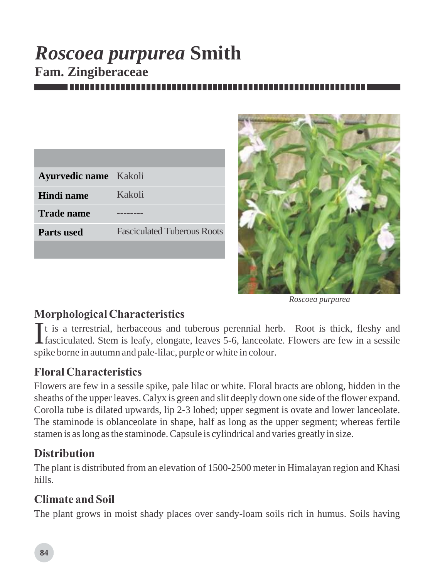# *Roscoea purpurea* **Smith Fam. Zingiberaceae**

| <b>Ayurvedic name</b> Kakoli |                                    |
|------------------------------|------------------------------------|
| Hindi name                   | Kakoli                             |
| <b>Trade name</b>            |                                    |
| <b>Parts used</b>            | <b>Fasciculated Tuberous Roots</b> |
|                              |                                    |



*Roscoea purpurea*

# *Morphological Characteristics*

It is a terrestrial, herbaceous and tuberous perennial herb. Root is thick, fleshy and fasciculated. Stem is leafy, elongate, leaves 5-6, lanceolate. Flowers are few in a sessile spike borne in autumn and pale-lilac, purple or white in colour.

# *Floral Characteristics*

Flowers are few in a sessile spike, pale lilac or white. Floral bracts are oblong, hidden in the sheaths of the upper leaves. Calyx is green and slit deeply down one side of the flower expand. Corolla tube is dilated upwards, lip 2-3 lobed; upper segment is ovate and lower lanceolate. The staminode is oblanceolate in shape, half as long as the upper segment; whereas fertile stamen is as long as the staminode. Capsule is cylindrical and varies greatly in size.

# *Distribution*

The plant is distributed from an elevation of 1500-2500 meter in Himalayan region and Khasi hills.

# *Climate and Soil*

The plant grows in moist shady places over sandy-loam soils rich in humus. Soils having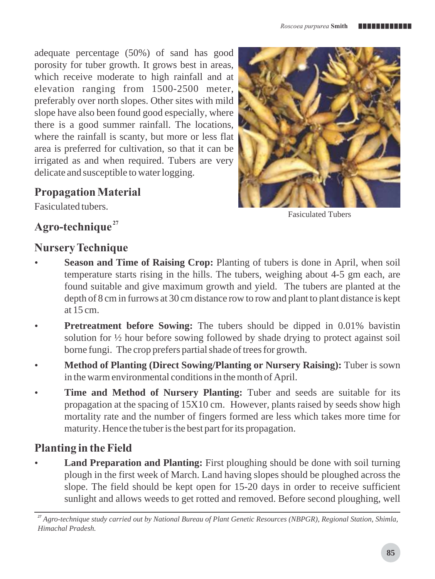adequate percentage (50%) of sand has good porosity for tuber growth. It grows best in areas, which receive moderate to high rainfall and at elevation ranging from 1500-2500 meter, preferably over north slopes. Other sites with mild slope have also been found good especially, where there is a good summer rainfall. The locations, where the rainfall is scanty, but more or less flat area is preferred for cultivation, so that it can be irrigated as and when required. Tubers are very delicate and susceptible to water logging.

## *Propagation Material*

Fasiculated tubers.



Fasiculated Tubers

## *<sup>27</sup> Agro-technique*

#### *Nursery Technique*

- **Season and Time of Raising Crop:** Planting of tubers is done in April, when soil temperature starts rising in the hills. The tubers, weighing about 4-5 gm each, are found suitable and give maximum growth and yield. The tubers are planted at the depth of 8 cm in furrows at 30 cm distance row to row and plant to plant distance is kept at 15 cm.
- **Pretreatment before Sowing:** The tubers should be dipped in 0.01% bavistin solution for ½ hour before sowing followed by shade drying to protect against soil borne fungi. The crop prefers partial shade of trees for growth.
- **Method of Planting (Direct Sowing/Planting or Nursery Raising):** Tuber is sown in the warm environmental conditions in the month of April.
- **Time and Method of Nursery Planting:** Tuber and seeds are suitable for its propagation at the spacing of 15X10 cm. However, plants raised by seeds show high mortality rate and the number of fingers formed are less which takes more time for maturity. Hence the tuber is the best part for its propagation.

# *Planting in the Field*

**Land Preparation and Planting:** First ploughing should be done with soil turning plough in the first week of March. Land having slopes should be ploughed across the slope. The field should be kept open for 15-20 days in order to receive sufficient sunlight and allows weeds to get rotted and removed. Before second ploughing, well

*<sup>27</sup> Agro-technique study carried out by National Bureau of Plant Genetic Resources (NBPGR), Regional Station, Shimla, Himachal Pradesh.*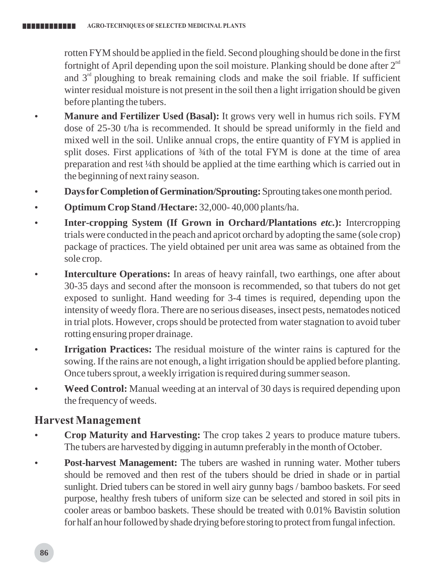rotten FYM should be applied in the field. Second ploughing should be done in the first fortnight of April depending upon the soil moisture. Planking should be done after  $2^{nd}$ and  $3<sup>rd</sup>$  ploughing to break remaining clods and make the soil friable. If sufficient winter residual moisture is not present in the soil then a light irrigation should be given before planting the tubers.

- **Manure and Fertilizer Used (Basal):** It grows very well in humus rich soils. FYM dose of 25-30 t/ha is recommended. It should be spread uniformly in the field and mixed well in the soil. Unlike annual crops, the entire quantity of FYM is applied in split doses. First applications of  $\frac{3}{4}$ th of the total FYM is done at the time of area preparation and rest ¼th should be applied at the time earthing which is carried out in the beginning of next rainy season.
- **Days for Completion of Germination/Sprouting:** Sprouting takes one month period.
- **Optimum Crop Stand /Hectare: 32,000-40,000 plants/ha.**
- **Inter-cropping System (If Grown in Orchard/Plantations** *etc.***): Intercropping** trials were conducted in the peach and apricot orchard by adopting the same (sole crop) package of practices. The yield obtained per unit area was same as obtained from the sole crop.
- **Interculture Operations:** In areas of heavy rainfall, two earthings, one after about 30-35 days and second after the monsoon is recommended, so that tubers do not get exposed to sunlight. Hand weeding for 3-4 times is required, depending upon the intensity of weedy flora. There are no serious diseases, insect pests, nematodes noticed in trial plots. However, crops should be protected from water stagnation to avoid tuber rotting ensuring proper drainage.
- **Irrigation Practices:** The residual moisture of the winter rains is captured for the sowing. If the rains are not enough, a light irrigation should be applied before planting. Once tubers sprout, a weekly irrigation is required during summer season.
- **Weed Control:** Manual weeding at an interval of 30 days is required depending upon the frequency of weeds.

## *Harvest Management*

- **Crop Maturity and Harvesting:** The crop takes 2 years to produce mature tubers. The tubers are harvested by digging in autumn preferably in the month of October.
- **Post-harvest Management:** The tubers are washed in running water. Mother tubers should be removed and then rest of the tubers should be dried in shade or in partial sunlight. Dried tubers can be stored in well airy gunny bags / bamboo baskets. For seed purpose, healthy fresh tubers of uniform size can be selected and stored in soil pits in cooler areas or bamboo baskets. These should be treated with 0.01% Bavistin solution for half an hour followed by shade drying before storing to protect from fungal infection.